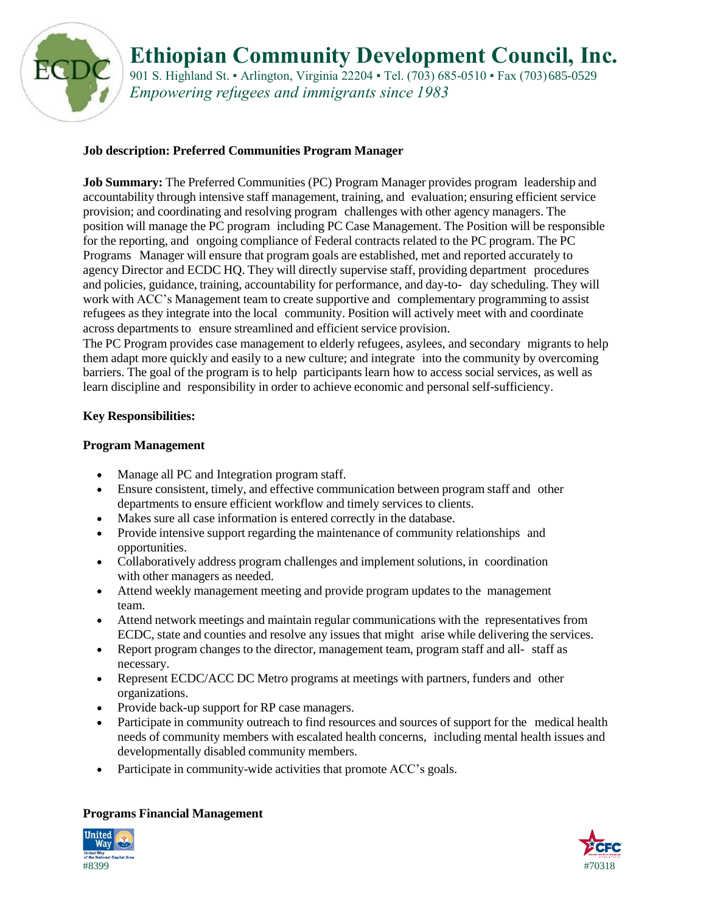

# **Ethiopian Community Development Council, Inc.**

901 S. Highland St. • Arlington, Virginia 22204 • Tel. (703) 685-0510 • Fax (703) 685-0529 *Empowering refugees and immigrants since 1983*

#### **Job description: Preferred Communities Program Manager**

**Job Summary:** The Preferred Communities (PC) Program Manager provides program leadership and accountability through intensive staff management, training, and evaluation; ensuring efficient service provision; and coordinating and resolving program challenges with other agency managers. The position will manage the PC program including PC Case Management. The Position will be responsible for the reporting, and ongoing compliance of Federal contracts related to the PC program. The PC Programs Manager will ensure that program goals are established, met and reported accurately to agency Director and ECDC HQ. They will directly supervise staff, providing department procedures and policies, guidance, training, accountability for performance, and day-to- day scheduling. They will work with ACC's Management team to create supportive and complementary programming to assist refugees as they integrate into the local community. Position will actively meet with and coordinate across departments to ensure streamlined and efficient service provision.

The PC Program provides case management to elderly refugees, asylees, and secondary migrants to help them adapt more quickly and easily to a new culture; and integrate into the community by overcoming barriers. The goal of the program is to help participants learn how to access social services, as well as learn discipline and responsibility in order to achieve economic and personal self-sufficiency.

#### **Key Responsibilities:**

#### **Program Management**

- Manage all PC and Integration program staff.
- Ensure consistent, timely, and effective communication between program staff and other departments to ensure efficient workflow and timely services to clients.
- Makes sure all case information is entered correctly in the database.
- Provide intensive support regarding the maintenance of community relationships and opportunities.
- Collaboratively address program challenges and implement solutions, in coordination with other managers as needed.
- Attend weekly management meeting and provide program updates to the management team.
- Attend network meetings and maintain regular communications with the representatives from ECDC, state and counties and resolve any issues that might arise while delivering the services.
- Report program changes to the director, management team, program staff and all- staff as necessary.
- Represent ECDC/ACC DC Metro programs at meetings with partners, funders and other organizations.
- Provide back-up support for RP case managers.
- Participate in community outreach to find resources and sources of support for the medical health needs of community members with escalated health concerns, including mental health issues and developmentally disabled community members.
- Participate in community-wide activities that promote ACC's goals.

#### **Programs Financial Management**



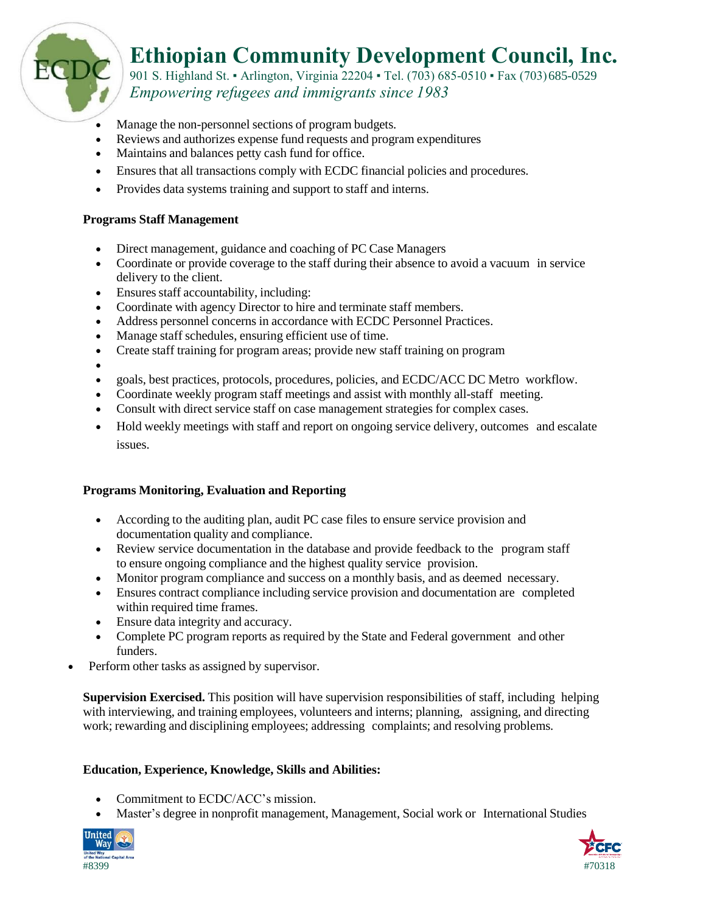

901 S. Highland St. • Arlington, Virginia 22204 • Tel. (703) 685-0510 • Fax (703) 685-0529 *Empowering refugees and immigrants since 1983*

- Manage the non-personnel sections of program budgets.
- Reviews and authorizes expense fund requests and program expenditures
- Maintains and balances petty cash fund for office.
- Ensures that all transactions comply with ECDC financial policies and procedures.
- Provides data systems training and support to staff and interns.

#### **Programs Staff Management**

- Direct management, guidance and coaching of PC Case Managers
- Coordinate or provide coverage to the staff during their absence to avoid a vacuum in service delivery to the client.
- Ensures staff accountability, including:
- Coordinate with agency Director to hire and terminate staff members.
- Address personnel concerns in accordance with ECDC Personnel Practices.
- Manage staff schedules, ensuring efficient use of time.
- Create staff training for program areas; provide new staff training on program
- •

EC

- goals, best practices, protocols, procedures, policies, and ECDC/ACC DC Metro workflow.
- Coordinate weekly program staff meetings and assist with monthly all-staff meeting.
- Consult with direct service staff on case management strategies for complex cases.
- Hold weekly meetings with staff and report on ongoing service delivery, outcomes and escalate issues.

#### **Programs Monitoring, Evaluation and Reporting**

- According to the auditing plan, audit PC case files to ensure service provision and documentation quality and compliance.
- Review service documentation in the database and provide feedback to the program staff to ensure ongoing compliance and the highest quality service provision.
- Monitor program compliance and success on a monthly basis, and as deemed necessary.
- Ensures contract compliance including service provision and documentation are completed within required time frames.
- Ensure data integrity and accuracy.
- Complete PC program reports as required by the State and Federal government and other funders.
- Perform other tasks as assigned by supervisor.

**Supervision Exercised.** This position will have supervision responsibilities of staff, including helping with interviewing, and training employees, volunteers and interns; planning, assigning, and directing work; rewarding and disciplining employees; addressing complaints; and resolving problems.

## **Education, Experience, Knowledge, Skills and Abilities:**

- Commitment to ECDC/ACC's mission.
- Master's degree in nonprofit management, Management, Social work or International Studies



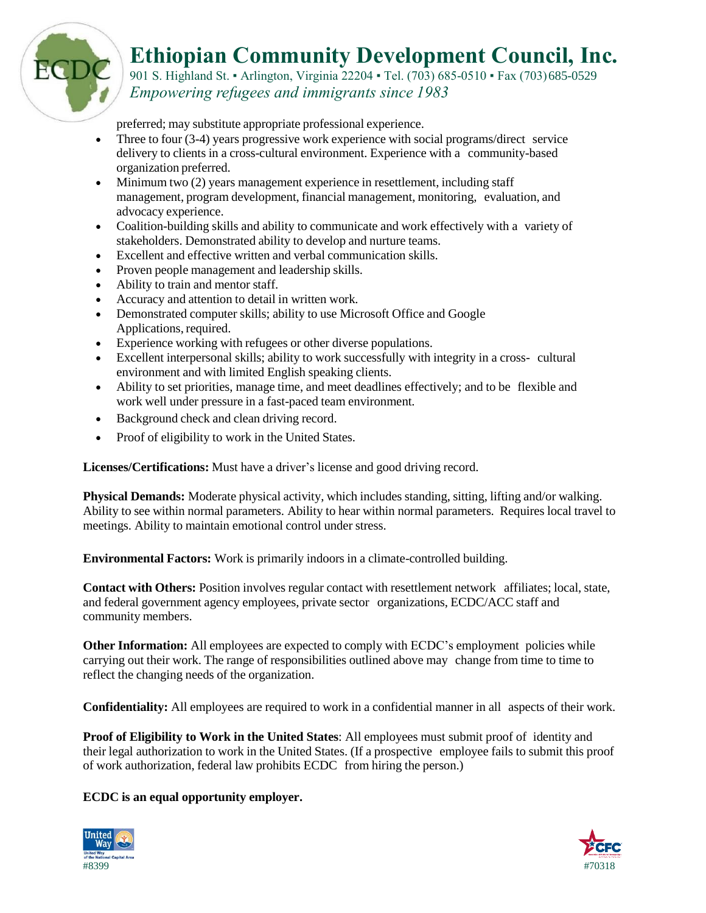

901 S. Highland St. • Arlington, Virginia 22204 • Tel. (703) 685-0510 • Fax (703) 685-0529 *Empowering refugees and immigrants since 1983*

preferred; may substitute appropriate professional experience.

- Three to four (3-4) years progressive work experience with social programs/direct service delivery to clients in a cross-cultural environment. Experience with a community-based organization preferred.
- Minimum two (2) years management experience in resettlement, including staff management, program development, financial management, monitoring, evaluation, and advocacy experience.
- Coalition-building skills and ability to communicate and work effectively with a variety of stakeholders. Demonstrated ability to develop and nurture teams.
- Excellent and effective written and verbal communication skills.
- Proven people management and leadership skills.
- Ability to train and mentor staff.

EC

- Accuracy and attention to detail in written work.
- Demonstrated computer skills; ability to use Microsoft Office and Google Applications, required.
- Experience working with refugees or other diverse populations.
- Excellent interpersonal skills; ability to work successfully with integrity in a cross- cultural environment and with limited English speaking clients.
- Ability to set priorities, manage time, and meet deadlines effectively; and to be flexible and work well under pressure in a fast-paced team environment.
- Background check and clean driving record.
- Proof of eligibility to work in the United States.

**Licenses/Certifications:** Must have a driver's license and good driving record.

**Physical Demands:** Moderate physical activity, which includes standing, sitting, lifting and/or walking. Ability to see within normal parameters. Ability to hear within normal parameters. Requires local travel to meetings. Ability to maintain emotional control under stress.

**Environmental Factors:** Work is primarily indoors in a climate-controlled building.

**Contact with Others:** Position involves regular contact with resettlement network affiliates; local, state, and federal government agency employees, private sector organizations, ECDC/ACC staff and community members.

**Other Information:** All employees are expected to comply with ECDC's employment policies while carrying out their work. The range of responsibilities outlined above may change from time to time to reflect the changing needs of the organization.

**Confidentiality:** All employees are required to work in a confidential manner in all aspects of their work.

**Proof of Eligibility to Work in the United States**: All employees must submit proof of identity and their legal authorization to work in the United States. (If a prospective employee fails to submit this proof of work authorization, federal law prohibits ECDC from hiring the person.)

## **ECDC is an equal opportunity employer.**